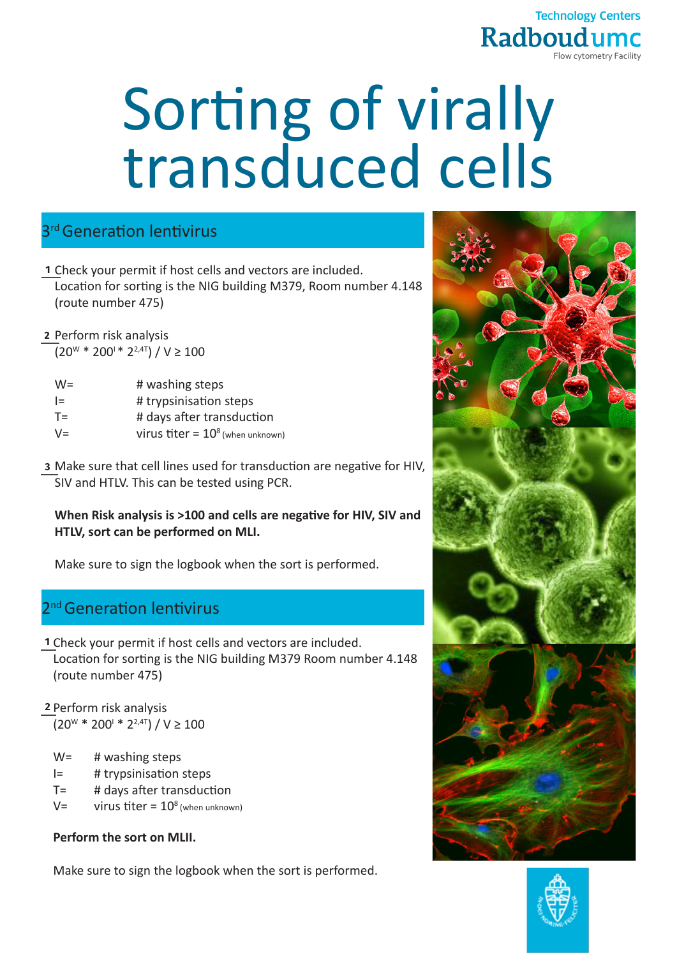

# Sorting of virally transduced cells

# 3<sup>rd</sup> Generation lentivirus

- Check your permit if host cells and vectors are included. **1** Location for sorting is the NIG building M379, Room number 4.148 (route number 475)
- **2** Perform risk analysis  $(20^{W} * 200^{W} * 2^{2,4T}) / V \ge 100$

| $W =$ | # washing steps                     |
|-------|-------------------------------------|
| $l =$ | # trypsinisation steps              |
| $T =$ | # days after transduction           |
| $V =$ | virus titer = $10^8$ (when unknown) |

Make sure that cell lines used for transduction are negative for HIV, **3** SIV and HTLV. This can be tested using PCR.

### **When Risk analysis is >100 and cells are negative for HIV, SIV and HTLV, sort can be performed on MLI.**

Make sure to sign the logbook when the sort is performed.

# <sup>nd</sup> Generation lentivirus

- Check your permit if host cells and vectors are included. **1** Location for sorting is the NIG building M379 Room number 4.148 (route number 475)
- **2** Perform risk analysis  $(20^{W} * 200^{W} * 2^{2,4T}) / V \ge 100$ 
	- W= # washing steps
- I= # trypsinisation steps
- T= # days after transduction
- $V=$  virus titer =  $10^8$  (when unknown)

## **Perform the sort on MLII.**

Make sure to sign the logbook when the sort is performed.